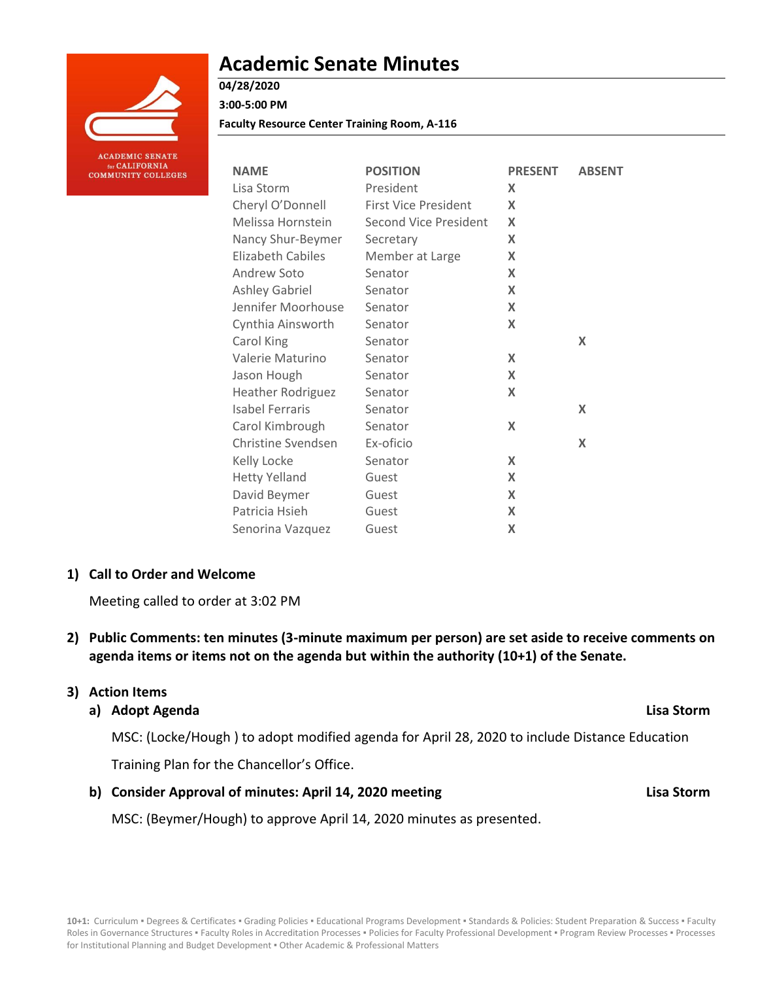

**ACADEMIC SENATE** or CALIFORNIA **COMMUNITY COLLEGES** 

# **Academic Senate Minutes**

**Faculty Resource Center Training Room, A-116**

| <b>NAME</b>              | <b>POSITION</b>             | <b>PRESENT</b>            | <b>ABSENT</b> |
|--------------------------|-----------------------------|---------------------------|---------------|
| Lisa Storm               | President                   | X                         |               |
| Cheryl O'Donnell         | <b>First Vice President</b> | X                         |               |
| Melissa Hornstein        | Second Vice President       | X                         |               |
| Nancy Shur-Beymer        | Secretary                   | X                         |               |
| Elizabeth Cabiles        | Member at Large             | X                         |               |
| Andrew Soto              | Senator                     | $\boldsymbol{\mathsf{X}}$ |               |
| <b>Ashley Gabriel</b>    | Senator                     | X                         |               |
| Jennifer Moorhouse       | Senator                     | X                         |               |
| Cynthia Ainsworth        | Senator                     | X                         |               |
| Carol King               | Senator                     |                           | X             |
| Valerie Maturino         | Senator                     | X                         |               |
| Jason Hough              | Senator                     | X                         |               |
| <b>Heather Rodriguez</b> | Senator                     | X                         |               |
| <b>Isabel Ferraris</b>   | Senator                     |                           | X             |
| Carol Kimbrough          | Senator                     | X                         |               |
| Christine Svendsen       | Ex-oficio                   |                           | X             |
| Kelly Locke              | Senator                     | X                         |               |
| <b>Hetty Yelland</b>     | Guest                       | X                         |               |
| David Beymer             | Guest                       | X                         |               |
| Patricia Hsieh           | Guest                       | X                         |               |
| Senorina Vazquez         | Guest                       | X                         |               |

### **1) Call to Order and Welcome**

Meeting called to order at 3:02 PM

**2) Public Comments: ten minutes (3-minute maximum per person) are set aside to receive comments on agenda items or items not on the agenda but within the authority (10+1) of the Senate.**

### **3) Action Items**

### **a) Adopt Agenda Lisa Storm**

MSC: (Locke/Hough ) to adopt modified agenda for April 28, 2020 to include Distance Education

Training Plan for the Chancellor's Office.

### **b) Consider Approval of minutes: April 14, 2020 meeting Lisa Storm**

MSC: (Beymer/Hough) to approve April 14, 2020 minutes as presented.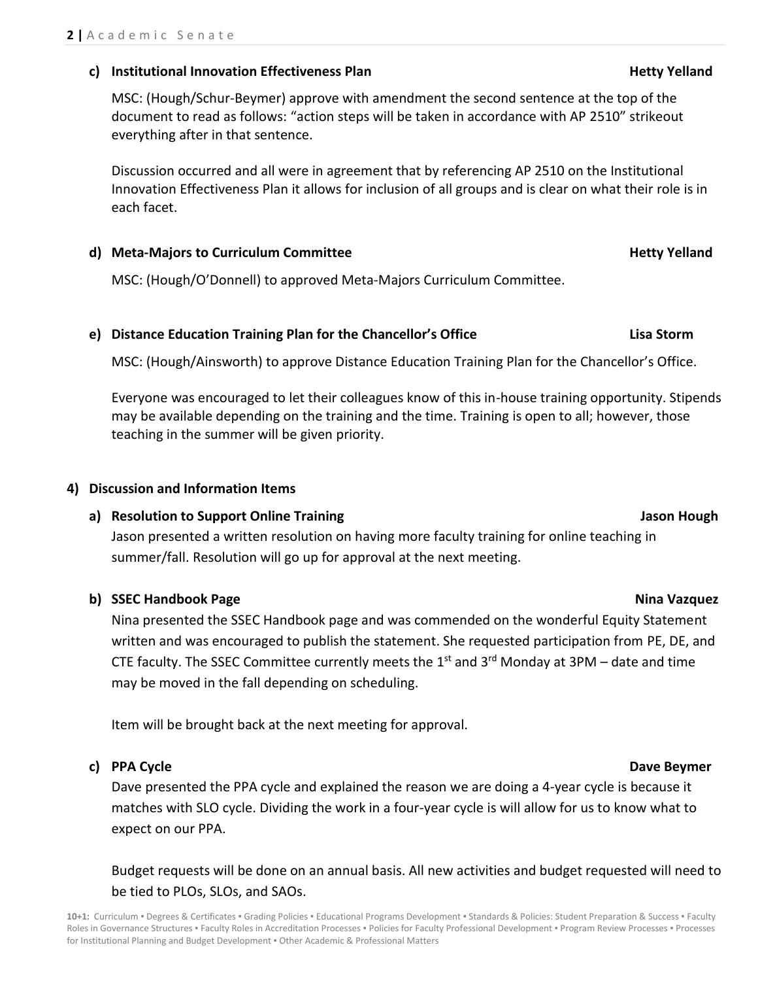### **c) Institutional Innovation Effectiveness Plan Hetty Yelland**

MSC: (Hough/Schur-Beymer) approve with amendment the second sentence at the top of the document to read as follows: "action steps will be taken in accordance with AP 2510" strikeout everything after in that sentence.

Discussion occurred and all were in agreement that by referencing AP 2510 on the Institutional Innovation Effectiveness Plan it allows for inclusion of all groups and is clear on what their role is in each facet.

### **d)** Meta-Majors to Curriculum Committee **heta-Majors in the Security Yelland**

MSC: (Hough/O'Donnell) to approved Meta-Majors Curriculum Committee.

# **e) Distance Education Training Plan for the Chancellor's Office Lisa Storm**

MSC: (Hough/Ainsworth) to approve Distance Education Training Plan for the Chancellor's Office.

Everyone was encouraged to let their colleagues know of this in-house training opportunity. Stipends may be available depending on the training and the time. Training is open to all; however, those teaching in the summer will be given priority.

# **4) Discussion and Information Items**

# **a) Resolution to Support Online Training Jason Hough**

Jason presented a written resolution on having more faculty training for online teaching in summer/fall. Resolution will go up for approval at the next meeting.

# **b) SSEC Handbook Page Nina Vazquez**

Nina presented the SSEC Handbook page and was commended on the wonderful Equity Statement written and was encouraged to publish the statement. She requested participation from PE, DE, and CTE faculty. The SSEC Committee currently meets the  $1<sup>st</sup>$  and  $3<sup>rd</sup>$  Monday at 3PM – date and time may be moved in the fall depending on scheduling.

Item will be brought back at the next meeting for approval.

### **c) PPA Cycle Dave Beymer**

Dave presented the PPA cycle and explained the reason we are doing a 4-year cycle is because it matches with SLO cycle. Dividing the work in a four-year cycle is will allow for us to know what to expect on our PPA.

Budget requests will be done on an annual basis. All new activities and budget requested will need to be tied to PLOs, SLOs, and SAOs.

10+1: Curriculum · Degrees & Certificates · Grading Policies · Educational Programs Development · Standards & Policies: Student Preparation & Success · Faculty Roles in Governance Structures . Faculty Roles in Accreditation Processes . Policies for Faculty Professional Development . Program Review Processes . Processes for Institutional Planning and Budget Development ▪ Other Academic & Professional Matters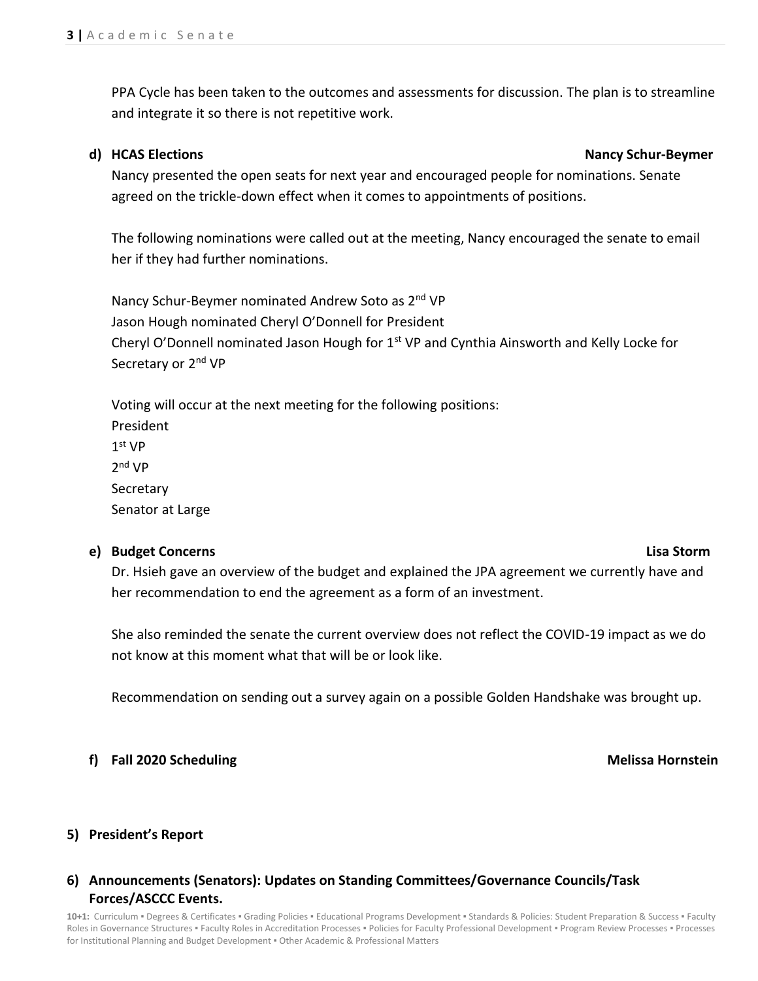PPA Cycle has been taken to the outcomes and assessments for discussion. The plan is to streamline and integrate it so there is not repetitive work.

### **d) HCAS Elections Nancy Schur-Beymer**

Nancy presented the open seats for next year and encouraged people for nominations. Senate agreed on the trickle-down effect when it comes to appointments of positions.

The following nominations were called out at the meeting, Nancy encouraged the senate to email her if they had further nominations.

Nancy Schur-Beymer nominated Andrew Soto as 2<sup>nd</sup> VP Jason Hough nominated Cheryl O'Donnell for President Cheryl O'Donnell nominated Jason Hough for  $1<sup>st</sup> VP$  and Cynthia Ainsworth and Kelly Locke for Secretary or 2<sup>nd</sup> VP

Voting will occur at the next meeting for the following positions: President 1 st VP 2 nd VP **Secretary** Senator at Large

### **e) Budget Concerns Lisa Storm**

Dr. Hsieh gave an overview of the budget and explained the JPA agreement we currently have and her recommendation to end the agreement as a form of an investment.

She also reminded the senate the current overview does not reflect the COVID-19 impact as we do not know at this moment what that will be or look like.

Recommendation on sending out a survey again on a possible Golden Handshake was brought up.

### **f) Fall 2020 Scheduling Melissa Hornstein**

### **5) President's Report**

# **6) Announcements (Senators): Updates on Standing Committees/Governance Councils/Task Forces/ASCCC Events.**

10+1: Curriculum · Degrees & Certificates · Grading Policies · Educational Programs Development · Standards & Policies: Student Preparation & Success · Faculty Roles in Governance Structures . Faculty Roles in Accreditation Processes . Policies for Faculty Professional Development . Program Review Processes . Processes for Institutional Planning and Budget Development ▪ Other Academic & Professional Matters